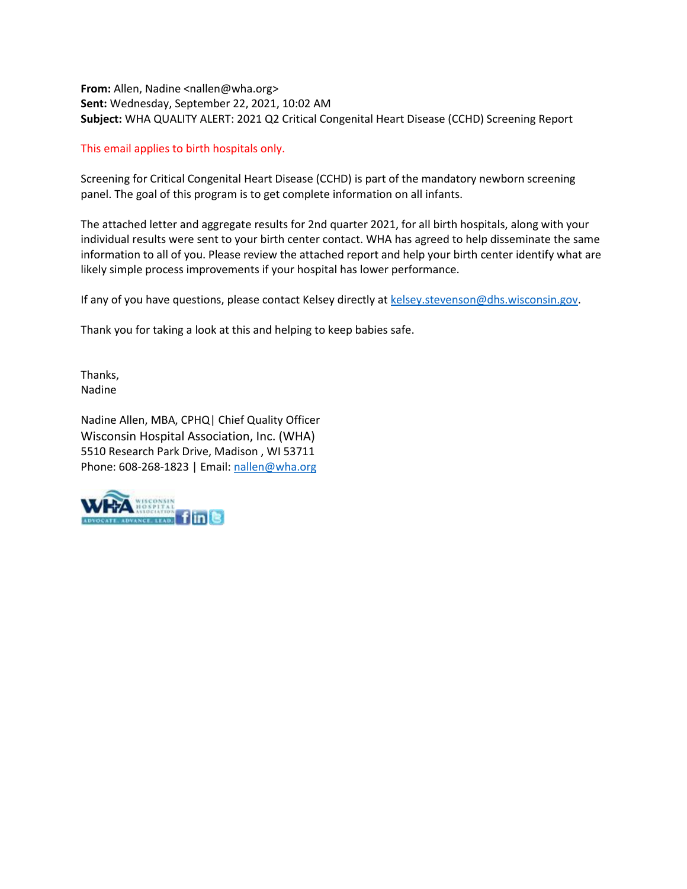**From:** Allen, Nadine <nallen@wha.org> **Sent:** Wednesday, September 22, 2021, 10:02 AM **Subject:** WHA QUALITY ALERT: 2021 Q2 Critical Congenital Heart Disease (CCHD) Screening Report

#### This email applies to birth hospitals only.

Screening for Critical Congenital Heart Disease (CCHD) is part of the mandatory newborn screening panel. The goal of this program is to get complete information on all infants.

The attached letter and aggregate results for 2nd quarter 2021, for all birth hospitals, along with your individual results were sent to your birth center contact. WHA has agreed to help disseminate the same information to all of you. Please review the attached report and help your birth center identify what are likely simple process improvements if your hospital has lower performance.

If any of you have questions, please contact Kelsey directly at [kelsey.stevenson@dhs.wisconsin.gov.](mailto:kelsey.stevenson@dhs.wisconsin.gov)

Thank you for taking a look at this and helping to keep babies safe.

Thanks, Nadine

Nadine Allen, MBA, CPHQ| Chief Quality Officer Wisconsin Hospital Association, Inc. (WHA) 5510 Research Park Drive, Madison , WI 53711 Phone: 608-268-1823 | Email: [nallen@wha.org](mailto:nallen@wha.org)

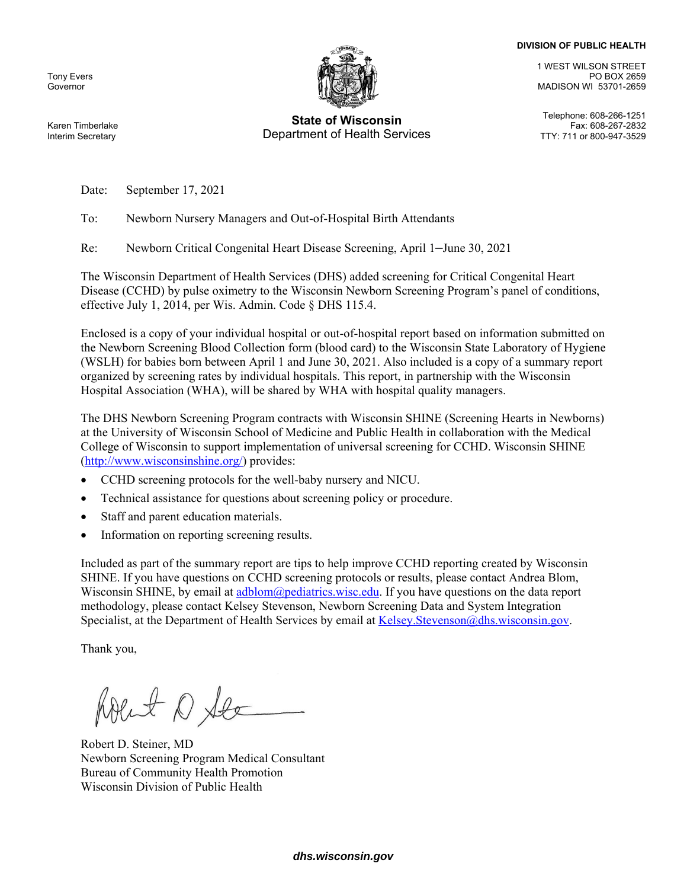#### **DIVISION OF PUBLIC HEALTH**

Tony Evers Governor



## **State of Wisconsin** Telephone: 608-266-1251 Department of Health Services

1 WEST WILSON STREET PO BOX 2659 MADISON WI 53701-2659

Fax: 608-267-2832<br>TTY: 711 or 800-947-3529

Karen Timberlake Interim Secretary

Date: September 17, 2021

To: Newborn Nursery Managers and Out-of-Hospital Birth Attendants

Re: Newborn Critical Congenital Heart Disease Screening, April 1–June 30, 2021

The Wisconsin Department of Health Services (DHS) added screening for Critical Congenital Heart Disease (CCHD) by pulse oximetry to the Wisconsin Newborn Screening Program's panel of conditions, effective July 1, 2014, per Wis. Admin. Code § DHS 115.4.

Enclosed is a copy of your individual hospital or out-of-hospital report based on information submitted on the Newborn Screening Blood Collection form (blood card) to the Wisconsin State Laboratory of Hygiene (WSLH) for babies born between April 1 and June 30, 2021. Also included is a copy of a summary report organized by screening rates by individual hospitals. This report, in partnership with the Wisconsin Hospital Association (WHA), will be shared by WHA with hospital quality managers.

The DHS Newborn Screening Program contracts with Wisconsin SHINE (Screening Hearts in Newborns) at the University of Wisconsin School of Medicine and Public Health in collaboration with the Medical College of Wisconsin to support implementation of universal screening for CCHD. Wisconsin SHINE (http://www.wisconsinshine.org/) provides:

- CCHD screening protocols for the well-baby nursery and NICU.
- Technical assistance for questions about screening policy or procedure.
- Staff and parent education materials.
- Information on reporting screening results.

Included as part of the summary report are tips to help improve CCHD reporting created by Wisconsin SHINE. If you have questions on CCHD screening protocols or results, please contact Andrea Blom, Wisconsin SHINE, by email at adblom@pediatrics.wisc.edu. If you have questions on the data report methodology, please contact Kelsey Stevenson, Newborn Screening Data and System Integration Specialist, at the Department of Health Services by email at Kelsey.Stevenson@dhs.wisconsin.gov.

Thank you,

Rolent 1 Stee

Robert D. Steiner, MD Newborn Screening Program Medical Consultant Bureau of Community Health Promotion Wisconsin Division of Public Health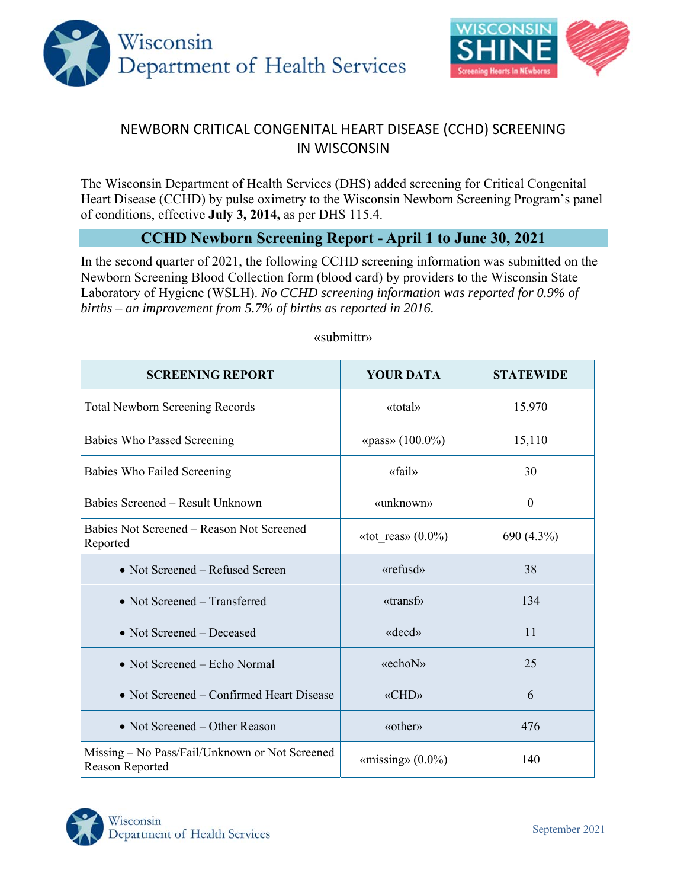



# NEWBORN CRITICAL CONGENITAL HEART DISEASE (CCHD) SCREENING IN WISCONSIN

The Wisconsin Department of Health Services (DHS) added screening for Critical Congenital Heart Disease (CCHD) by pulse oximetry to the Wisconsin Newborn Screening Program's panel of conditions, effective **July 3, 2014,** as per DHS 115.4.

## **CCHD Newborn Screening Report - April 1 to June 30, 2021**

In the second quarter of 2021, the following CCHD screening information was submitted on the Newborn Screening Blood Collection form (blood card) by providers to the Wisconsin State Laboratory of Hygiene (WSLH). *No CCHD screening information was reported for 0.9% of births – an improvement from 5.7% of births as reported in 2016.*

| <b>SCREENING REPORT</b>                                           | <b>YOUR DATA</b>                        | <b>STATEWIDE</b> |  |  |
|-------------------------------------------------------------------|-----------------------------------------|------------------|--|--|
| <b>Total Newborn Screening Records</b>                            | «total»                                 | 15,970           |  |  |
| <b>Babies Who Passed Screening</b>                                | «pass» $(100.0\%)$                      | 15,110           |  |  |
| Babies Who Failed Screening                                       | «fail»                                  | 30               |  |  |
| Babies Screened – Result Unknown                                  | «unknown»                               | $\theta$         |  |  |
| Babies Not Screened – Reason Not Screened<br>Reported             | «tot reas» $(0.0\%)$                    | 690 (4.3%)       |  |  |
| • Not Screened – Refused Screen                                   | «refusd»                                | 38               |  |  |
| • Not Screened – Transferred                                      | $\langle \langle \text{transf} \rangle$ | 134              |  |  |
| • Not Screened – Deceased                                         | $\langle \text{decd} \rangle$           | 11               |  |  |
| • Not Screened – Echo Normal                                      | «echoN»                                 | 25               |  |  |
| • Not Screened – Confirmed Heart Disease                          | «CHD»                                   | 6                |  |  |
| • Not Screened – Other Reason                                     | «other»                                 | 476              |  |  |
| Missing - No Pass/Fail/Unknown or Not Screened<br>Reason Reported | «missing» $(0.0\%)$                     | 140              |  |  |

### «submittr»

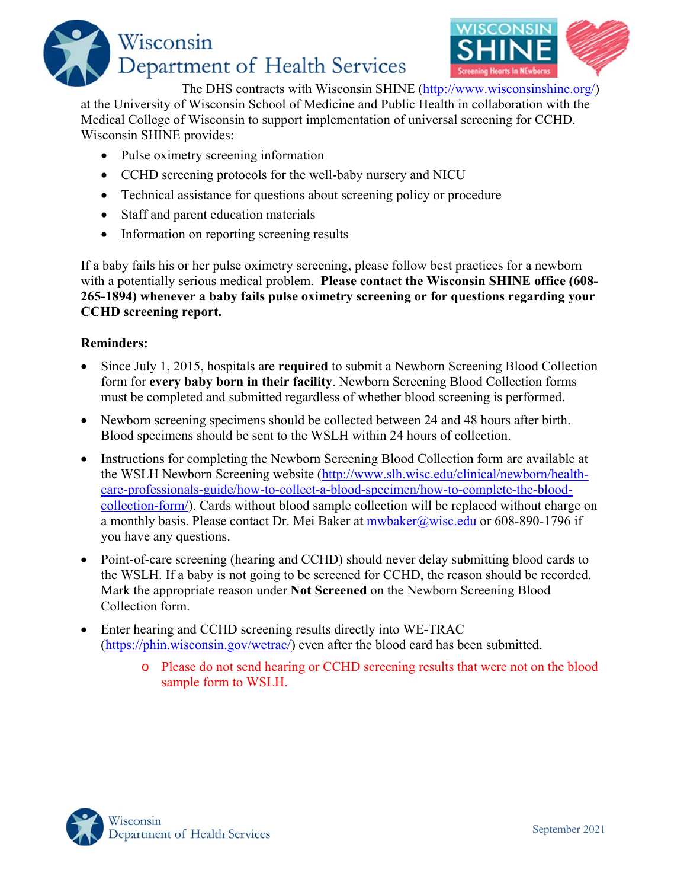



The DHS contracts with Wisconsin SHINE (http://www.wisconsinshine.org/)

at the University of Wisconsin School of Medicine and Public Health in collaboration with the Medical College of Wisconsin to support implementation of universal screening for CCHD. Wisconsin SHINE provides:

- Pulse oximetry screening information
- CCHD screening protocols for the well-baby nursery and NICU
- Technical assistance for questions about screening policy or procedure
- Staff and parent education materials
- Information on reporting screening results

If a baby fails his or her pulse oximetry screening, please follow best practices for a newborn with a potentially serious medical problem. **Please contact the Wisconsin SHINE office (608- 265-1894) whenever a baby fails pulse oximetry screening or for questions regarding your CCHD screening report.** 

## **Reminders:**

- Since July 1, 2015, hospitals are **required** to submit a Newborn Screening Blood Collection form for **every baby born in their facility**. Newborn Screening Blood Collection forms must be completed and submitted regardless of whether blood screening is performed.
- Newborn screening specimens should be collected between 24 and 48 hours after birth. Blood specimens should be sent to the WSLH within 24 hours of collection.
- Instructions for completing the Newborn Screening Blood Collection form are available at the WSLH Newborn Screening website (http://www.slh.wisc.edu/clinical/newborn/healthcare-professionals-guide/how-to-collect-a-blood-specimen/how-to-complete-the-bloodcollection-form/). Cards without blood sample collection will be replaced without charge on a monthly basis. Please contact Dr. Mei Baker at mwbaker@wisc.edu or 608-890-1796 if you have any questions.
- Point-of-care screening (hearing and CCHD) should never delay submitting blood cards to the WSLH. If a baby is not going to be screened for CCHD, the reason should be recorded. Mark the appropriate reason under **Not Screened** on the Newborn Screening Blood Collection form.
- Enter hearing and CCHD screening results directly into WE-TRAC (https://phin.wisconsin.gov/wetrac/) even after the blood card has been submitted.
	- o Please do not send hearing or CCHD screening results that were not on the blood sample form to WSLH.

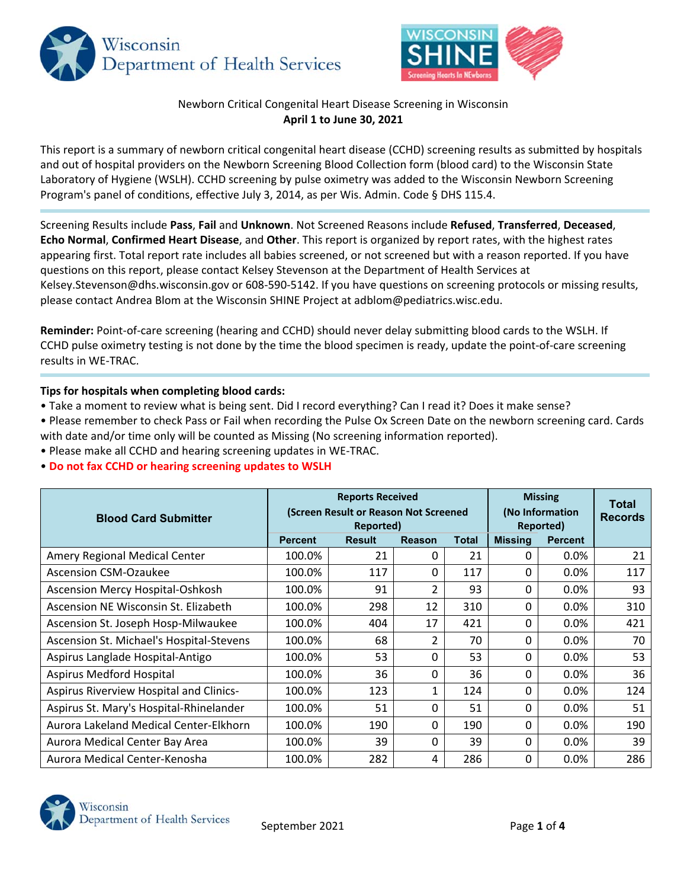



## Newborn Critical Congenital Heart Disease Screening in Wisconsin **April 1 to June 30, 2021**

This report is a summary of newborn critical congenital heart disease (CCHD) screening results as submitted by hospitals and out of hospital providers on the Newborn Screening Blood Collection form (blood card) to the Wisconsin State Laboratory of Hygiene (WSLH). CCHD screening by pulse oximetry was added to the Wisconsin Newborn Screening Program's panel of conditions, effective July 3, 2014, as per Wis. Admin. Code § DHS 115.4.

Screening Results include **Pass**, **Fail** and **Unknown**. Not Screened Reasons include **Refused**, **Transferred**, **Deceased**, **Echo Normal**, **Confirmed Heart Disease**, and **Other**. This report is organized by report rates, with the highest rates appearing first. Total report rate includes all babies screened, or not screened but with a reason reported. If you have questions on this report, please contact Kelsey Stevenson at the Department of Health Services at Kelsey.Stevenson@dhs.wisconsin.gov or 608‐590‐5142. If you have questions on screening protocols or missing results, please contact Andrea Blom at the Wisconsin SHINE Project at adblom@pediatrics.wisc.edu.

**Reminder:** Point‐of‐care screening (hearing and CCHD) should never delay submitting blood cards to the WSLH. If CCHD pulse oximetry testing is not done by the time the blood specimen is ready, update the point‐of‐care screening results in WE‐TRAC.

#### **Tips for hospitals when completing blood cards:**

- Take a moment to review what is being sent. Did I record everything? Can I read it? Does it make sense?
- Please remember to check Pass or Fail when recording the Pulse Ox Screen Date on the newborn screening card. Cards with date and/or time only will be counted as Missing (No screening information reported).
- Please make all CCHD and hearing screening updates in WE‐TRAC.
- **Do not fax CCHD or hearing screening updates to WSLH**

| <b>Blood Card Submitter</b>              | <b>Reports Received</b><br>(Screen Result or Reason Not Screened<br>Reported) |               |                |              | <b>Missing</b><br>(No Information<br>Reported) | <b>Total</b><br><b>Records</b> |     |
|------------------------------------------|-------------------------------------------------------------------------------|---------------|----------------|--------------|------------------------------------------------|--------------------------------|-----|
|                                          | <b>Percent</b>                                                                | <b>Result</b> | Reason         | <b>Total</b> | <b>Missing</b>                                 | <b>Percent</b>                 |     |
| Amery Regional Medical Center            | 100.0%                                                                        | 21            | 0              | 21           | 0                                              | 0.0%                           | 21  |
| <b>Ascension CSM-Ozaukee</b>             | 100.0%                                                                        | 117           | 0              | 117          | 0                                              | 0.0%                           | 117 |
| Ascension Mercy Hospital-Oshkosh         | 100.0%                                                                        | 91            | $\overline{2}$ | 93           | 0                                              | 0.0%                           | 93  |
| Ascension NE Wisconsin St. Elizabeth     | 100.0%                                                                        | 298           | 12             | 310          | 0                                              | 0.0%                           | 310 |
| Ascension St. Joseph Hosp-Milwaukee      | 100.0%                                                                        | 404           | 17             | 421          | 0                                              | 0.0%                           | 421 |
| Ascension St. Michael's Hospital-Stevens | 100.0%                                                                        | 68            | 2              | 70           | 0                                              | 0.0%                           | 70  |
| Aspirus Langlade Hospital-Antigo         | 100.0%                                                                        | 53            | 0              | 53           | $\Omega$                                       | 0.0%                           | 53  |
| Aspirus Medford Hospital                 | 100.0%                                                                        | 36            | 0              | 36           | 0                                              | 0.0%                           | 36  |
| Aspirus Riverview Hospital and Clinics-  | 100.0%                                                                        | 123           | 1              | 124          | 0                                              | 0.0%                           | 124 |
| Aspirus St. Mary's Hospital-Rhinelander  | 100.0%                                                                        | 51            | 0              | 51           | 0                                              | 0.0%                           | 51  |
| Aurora Lakeland Medical Center-Elkhorn   | 100.0%                                                                        | 190           | 0              | 190          | 0                                              | 0.0%                           | 190 |
| Aurora Medical Center Bay Area           | 100.0%                                                                        | 39            | 0              | 39           | 0                                              | 0.0%                           | 39  |
| Aurora Medical Center-Kenosha            | 100.0%                                                                        | 282           | 4              | 286          | 0                                              | 0.0%                           | 286 |

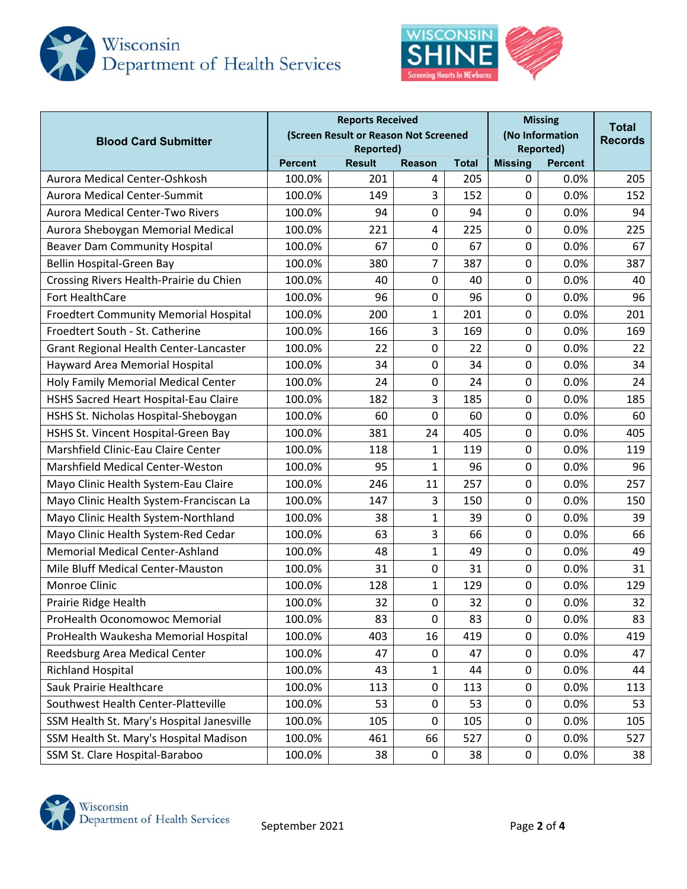



| <b>Reports Received</b><br>(Screen Result or Reason Not Screened<br><b>Blood Card Submitter</b><br><b>Reported)</b> |                                                  |     |                |                | <b>Missing</b><br>(No Information<br><b>Reported)</b> | Total<br><b>Records</b> |     |
|---------------------------------------------------------------------------------------------------------------------|--------------------------------------------------|-----|----------------|----------------|-------------------------------------------------------|-------------------------|-----|
|                                                                                                                     | <b>Result</b><br><b>Reason</b><br><b>Percent</b> |     | <b>Total</b>   | <b>Missing</b> | <b>Percent</b>                                        |                         |     |
| Aurora Medical Center-Oshkosh                                                                                       | 100.0%                                           | 201 | 4              | 205            | 0                                                     | 0.0%                    | 205 |
| Aurora Medical Center-Summit                                                                                        | 100.0%                                           | 149 | 3              | 152            | 0                                                     | 0.0%                    | 152 |
| <b>Aurora Medical Center-Two Rivers</b>                                                                             | 100.0%                                           | 94  | 0              | 94             | 0                                                     | 0.0%                    | 94  |
| Aurora Sheboygan Memorial Medical                                                                                   | 100.0%                                           | 221 | 4              | 225            | 0                                                     | 0.0%                    | 225 |
| Beaver Dam Community Hospital                                                                                       | 100.0%                                           | 67  | 0              | 67             | 0                                                     | 0.0%                    | 67  |
| Bellin Hospital-Green Bay                                                                                           | 100.0%                                           | 380 | $\overline{7}$ | 387            | 0                                                     | 0.0%                    | 387 |
| Crossing Rivers Health-Prairie du Chien                                                                             | 100.0%                                           | 40  | 0              | 40             | 0                                                     | 0.0%                    | 40  |
| Fort HealthCare                                                                                                     | 100.0%                                           | 96  | 0              | 96             | 0                                                     | 0.0%                    | 96  |
| <b>Froedtert Community Memorial Hospital</b>                                                                        | 100.0%                                           | 200 | 1              | 201            | 0                                                     | 0.0%                    | 201 |
| Froedtert South - St. Catherine                                                                                     | 100.0%                                           | 166 | 3              | 169            | 0                                                     | 0.0%                    | 169 |
| Grant Regional Health Center-Lancaster                                                                              | 100.0%                                           | 22  | 0              | 22             | 0                                                     | 0.0%                    | 22  |
| Hayward Area Memorial Hospital                                                                                      | 100.0%                                           | 34  | 0              | 34             | 0                                                     | 0.0%                    | 34  |
| Holy Family Memorial Medical Center                                                                                 | 100.0%                                           | 24  | 0              | 24             | 0                                                     | 0.0%                    | 24  |
| HSHS Sacred Heart Hospital-Eau Claire                                                                               | 100.0%                                           | 182 | 3              | 185            | 0                                                     | 0.0%                    | 185 |
| HSHS St. Nicholas Hospital-Sheboygan                                                                                | 100.0%                                           | 60  | 0              | 60             | 0                                                     | 0.0%                    | 60  |
| HSHS St. Vincent Hospital-Green Bay                                                                                 | 100.0%                                           | 381 | 24             | 405            | 0                                                     | 0.0%                    | 405 |
| Marshfield Clinic-Eau Claire Center                                                                                 | 100.0%                                           | 118 | $\mathbf{1}$   | 119            | 0                                                     | 0.0%                    | 119 |
| <b>Marshfield Medical Center-Weston</b>                                                                             | 100.0%                                           | 95  | $\mathbf{1}$   | 96             | 0                                                     | 0.0%                    | 96  |
| Mayo Clinic Health System-Eau Claire                                                                                | 100.0%                                           | 246 | 11             | 257            | 0                                                     | 0.0%                    | 257 |
| Mayo Clinic Health System-Franciscan La                                                                             | 100.0%                                           | 147 | 3              | 150            | 0                                                     | 0.0%                    | 150 |
| Mayo Clinic Health System-Northland                                                                                 | 100.0%                                           | 38  | $\mathbf{1}$   | 39             | 0                                                     | 0.0%                    | 39  |
| Mayo Clinic Health System-Red Cedar                                                                                 | 100.0%                                           | 63  | 3              | 66             | 0                                                     | 0.0%                    | 66  |
| <b>Memorial Medical Center-Ashland</b>                                                                              | 100.0%                                           | 48  | 1              | 49             | 0                                                     | 0.0%                    | 49  |
| Mile Bluff Medical Center-Mauston                                                                                   | 100.0%                                           | 31  | 0              | 31             | 0                                                     | 0.0%                    | 31  |
| Monroe Clinic                                                                                                       | 100.0%                                           | 128 | 1              | 129            | 0                                                     | 0.0%                    | 129 |
| Prairie Ridge Health                                                                                                | 100.0%                                           | 32  | 0              | 32             | 0                                                     | 0.0%                    | 32  |
| ProHealth Oconomowoc Memorial                                                                                       | 100.0%                                           | 83  | 0              | 83             | 0                                                     | 0.0%                    | 83  |
| ProHealth Waukesha Memorial Hospital                                                                                | 100.0%                                           | 403 | 16             | 419            | 0                                                     | 0.0%                    | 419 |
| Reedsburg Area Medical Center                                                                                       | 100.0%                                           | 47  | 0              | 47             | 0                                                     | 0.0%                    | 47  |
| <b>Richland Hospital</b>                                                                                            | 100.0%                                           | 43  | $\mathbf{1}$   | 44             | 0                                                     | 0.0%                    | 44  |
| Sauk Prairie Healthcare                                                                                             | 100.0%                                           | 113 | 0              | 113            | 0                                                     | 0.0%                    | 113 |
| Southwest Health Center-Platteville                                                                                 | 100.0%                                           | 53  | 0              | 53             | 0                                                     | 0.0%                    | 53  |
| SSM Health St. Mary's Hospital Janesville                                                                           | 100.0%                                           | 105 | 0              | 105            | 0                                                     | 0.0%                    | 105 |
| SSM Health St. Mary's Hospital Madison                                                                              | 100.0%                                           | 461 | 66             | 527            | 0                                                     | 0.0%                    | 527 |
| SSM St. Clare Hospital-Baraboo                                                                                      | 100.0%                                           | 38  | 0              | 38             | 0                                                     | 0.0%                    | 38  |

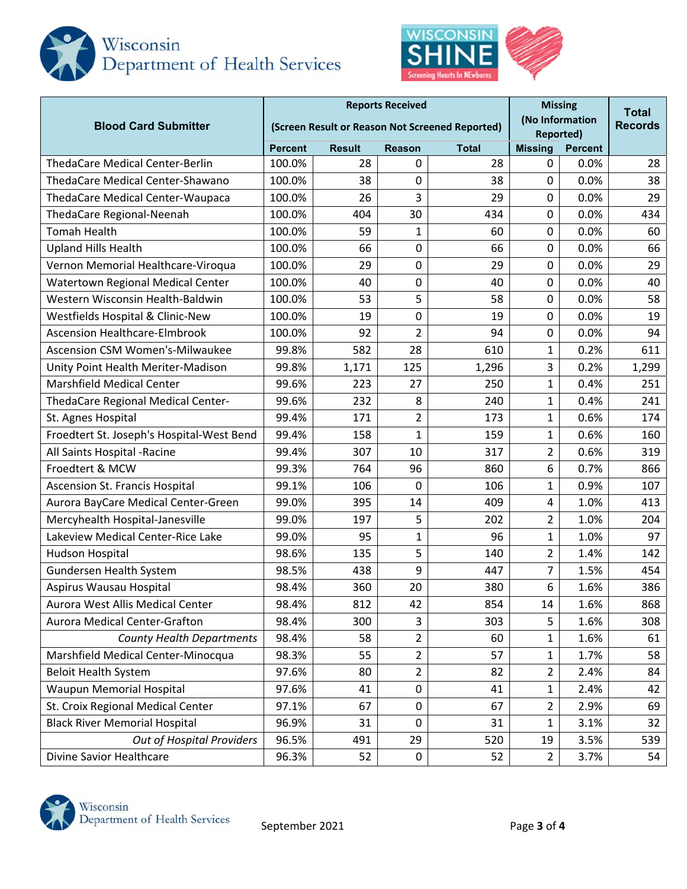



| <b>Blood Card Submitter</b>               | <b>Reports Received</b><br>(Screen Result or Reason Not Screened Reported) |                                                |                |       |                | <b>Missing</b><br>(No Information<br><b>Reported)</b> |       |  |
|-------------------------------------------|----------------------------------------------------------------------------|------------------------------------------------|----------------|-------|----------------|-------------------------------------------------------|-------|--|
|                                           | <b>Percent</b>                                                             | <b>Result</b><br><b>Reason</b><br><b>Total</b> |                |       | <b>Missing</b> |                                                       |       |  |
| <b>ThedaCare Medical Center-Berlin</b>    | 100.0%                                                                     | 28                                             | 0              | 28    | 0              | 0.0%                                                  | 28    |  |
| ThedaCare Medical Center-Shawano          | 100.0%                                                                     | 38                                             | 0              | 38    | 0              | 0.0%                                                  | 38    |  |
| <b>ThedaCare Medical Center-Waupaca</b>   | 100.0%                                                                     | 26                                             | 3              | 29    | 0              | 0.0%                                                  | 29    |  |
| ThedaCare Regional-Neenah                 | 100.0%                                                                     | 404                                            | 30             | 434   | 0              | 0.0%                                                  | 434   |  |
| <b>Tomah Health</b>                       | 100.0%                                                                     | 59                                             | 1              | 60    | 0              | 0.0%                                                  | 60    |  |
| <b>Upland Hills Health</b>                | 100.0%                                                                     | 66                                             | 0              | 66    | $\mathbf 0$    | 0.0%                                                  | 66    |  |
| Vernon Memorial Healthcare-Viroqua        | 100.0%                                                                     | 29                                             | 0              | 29    | 0              | 0.0%                                                  | 29    |  |
| Watertown Regional Medical Center         | 100.0%                                                                     | 40                                             | 0              | 40    | 0              | 0.0%                                                  | 40    |  |
| Western Wisconsin Health-Baldwin          | 100.0%                                                                     | 53                                             | 5              | 58    | 0              | 0.0%                                                  | 58    |  |
| Westfields Hospital & Clinic-New          | 100.0%                                                                     | 19                                             | 0              | 19    | 0              | 0.0%                                                  | 19    |  |
| <b>Ascension Healthcare-Elmbrook</b>      | 100.0%                                                                     | 92                                             | 2              | 94    | 0              | 0.0%                                                  | 94    |  |
| <b>Ascension CSM Women's-Milwaukee</b>    | 99.8%                                                                      | 582                                            | 28             | 610   | $\mathbf{1}$   | 0.2%                                                  | 611   |  |
| Unity Point Health Meriter-Madison        | 99.8%                                                                      | 1,171                                          | 125            | 1,296 | 3              | 0.2%                                                  | 1,299 |  |
| <b>Marshfield Medical Center</b>          | 99.6%                                                                      | 223                                            | 27             | 250   | 1              | 0.4%                                                  | 251   |  |
| ThedaCare Regional Medical Center-        | 99.6%                                                                      | 232                                            | 8              | 240   | 1              | 0.4%                                                  | 241   |  |
| St. Agnes Hospital                        | 99.4%                                                                      | 171                                            | $\overline{2}$ | 173   | $\mathbf 1$    | 0.6%                                                  | 174   |  |
| Froedtert St. Joseph's Hospital-West Bend | 99.4%                                                                      | 158                                            | $\mathbf{1}$   | 159   | $\mathbf{1}$   | 0.6%                                                  | 160   |  |
| All Saints Hospital - Racine              | 99.4%                                                                      | 307                                            | 10             | 317   | $\overline{2}$ | 0.6%                                                  | 319   |  |
| Froedtert & MCW                           | 99.3%                                                                      | 764                                            | 96             | 860   | 6              | 0.7%                                                  | 866   |  |
| Ascension St. Francis Hospital            | 99.1%                                                                      | 106                                            | 0              | 106   | $\mathbf 1$    | 0.9%                                                  | 107   |  |
| Aurora BayCare Medical Center-Green       | 99.0%                                                                      | 395                                            | 14             | 409   | 4              | 1.0%                                                  | 413   |  |
| Mercyhealth Hospital-Janesville           | 99.0%                                                                      | 197                                            | 5              | 202   | $\overline{2}$ | 1.0%                                                  | 204   |  |
| Lakeview Medical Center-Rice Lake         | 99.0%                                                                      | 95                                             | 1              | 96    | 1              | 1.0%                                                  | 97    |  |
| Hudson Hospital                           | 98.6%                                                                      | 135                                            | 5              | 140   | $\overline{2}$ | 1.4%                                                  | 142   |  |
| <b>Gundersen Health System</b>            | 98.5%                                                                      | 438                                            | 9              | 447   | 7              | 1.5%                                                  | 454   |  |
| Aspirus Wausau Hospital                   | 98.4%                                                                      | 360                                            | 20             | 380   | 6              | 1.6%                                                  | 386   |  |
| Aurora West Allis Medical Center          | 98.4%                                                                      | 812                                            | 42             | 854   | 14             | 1.6%                                                  | 868   |  |
| <b>Aurora Medical Center-Grafton</b>      | 98.4%                                                                      | 300                                            | 3              | 303   | 5              | 1.6%                                                  | 308   |  |
| <b>County Health Departments</b>          | 98.4%                                                                      | 58                                             | $\overline{2}$ | 60    | $\mathbf 1$    | 1.6%                                                  | 61    |  |
| Marshfield Medical Center-Minocqua        | 98.3%                                                                      | 55                                             | $\overline{2}$ | 57    | 1              | 1.7%                                                  | 58    |  |
| <b>Beloit Health System</b>               | 97.6%                                                                      | 80                                             | $\overline{2}$ | 82    | $\overline{2}$ | 2.4%                                                  | 84    |  |
| Waupun Memorial Hospital                  | 97.6%                                                                      | 41                                             | 0              | 41    | 1              | 2.4%                                                  | 42    |  |
| St. Croix Regional Medical Center         | 97.1%                                                                      | 67                                             | 0              | 67    | 2              | 2.9%                                                  | 69    |  |
| <b>Black River Memorial Hospital</b>      | 96.9%                                                                      | 31                                             | 0              | 31    | 1              | 3.1%                                                  | 32    |  |
| <b>Out of Hospital Providers</b>          | 96.5%                                                                      | 491                                            | 29             | 520   | 19             | 3.5%                                                  | 539   |  |
| Divine Savior Healthcare                  | 96.3%                                                                      | 52                                             | 0              | 52    | $\overline{2}$ | 3.7%                                                  | 54    |  |